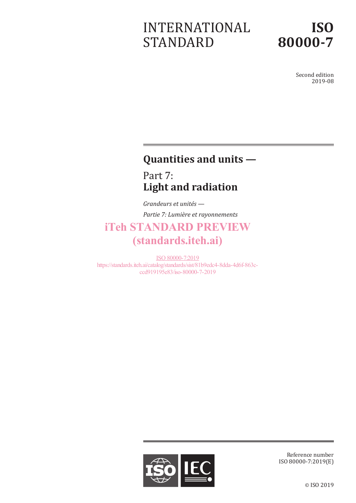# INTERNATIONAL STANDARD



Second edition 2019-08

## **Quantities and units —**

### Part 7: **Light and radiation**

*Grandeurs et unités —*

*Partie 7: Lumière et rayonnements*

## iTeh STANDARD PREVIEW (standards.iteh.ai)

ISO 80000-7:2019 https://standards.iteh.ai/catalog/standards/sist/81b9edc4-8dda-4d6f-863cccd919195e83/iso-80000-7-2019



Reference number ISO 80000-7:2019(E)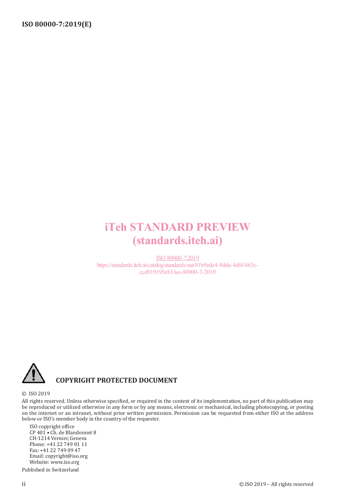## iTeh STANDARD PREVIEW (standards.iteh.ai)

ISO 80000-7:2019 https://standards.iteh.ai/catalog/standards/sist/81b9edc4-8dda-4d6f-863cccd919195e83/iso-80000-7-2019



### **COPYRIGHT PROTECTED DOCUMENT**

#### © ISO 2019

All rights reserved. Unless otherwise specified, or required in the context of its implementation, no part of this publication may be reproduced or utilized otherwise in any form or by any means, electronic or mechanical, including photocopying, or posting on the internet or an intranet, without prior written permission. Permission can be requested from either ISO at the address below or ISO's member body in the country of the requester.

ISO copyright office CP 401 • Ch. de Blandonnet 8 CH-1214 Vernier, Geneva Phone: +41 22 749 01 11 Fax: +41 22 749 09 47 Email: copyright@iso.org Website: www.iso.org

Published in Switzerland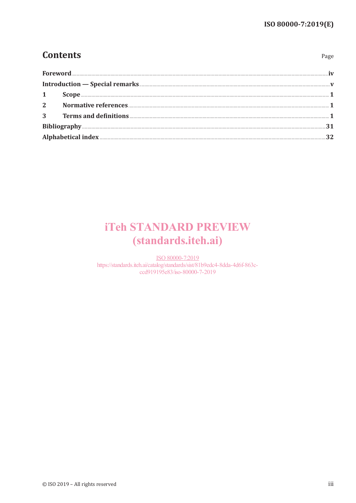Page

### **Contents**

| Foreword     |                                                                                                                                                                                                                                                                                                                                                                                         |
|--------------|-----------------------------------------------------------------------------------------------------------------------------------------------------------------------------------------------------------------------------------------------------------------------------------------------------------------------------------------------------------------------------------------|
|              |                                                                                                                                                                                                                                                                                                                                                                                         |
| $\mathbf{1}$ | $\textbf{Scope} \textit{} \textit{} \textit{} \textit{} \textit{} \textit{} \textit{} \textit{} \textit{} \textit{} \textit{} \textit{} \textit{} \textit{} \textit{} \textit{} \textit{} \textit{} \textit{} \textit{} \textit{} \textit{} \textit{} \textit{} \textit{} \textit{} \textit{} \textit{} \textit{} \textit{} \textit{} \textit{} \textit{} \textit{} \textit{} \textit{$ |
| $2^{\circ}$  |                                                                                                                                                                                                                                                                                                                                                                                         |
| 3            | Terms and definitions <b>Election</b> Superintending and Superintending and Superintending and Superintending and Superintending and Superintending and Superintending and Superintending and Superintending and Superintending and                                                                                                                                                     |
|              |                                                                                                                                                                                                                                                                                                                                                                                         |
|              |                                                                                                                                                                                                                                                                                                                                                                                         |

## **iTeh STANDARD PREVIEW** (standards.iteh.ai)

ISO 80000-7:2019 https://standards.iteh.ai/catalog/standards/sist/81b9edc4-8dda-4d6f-863cccd919195e83/iso-80000-7-2019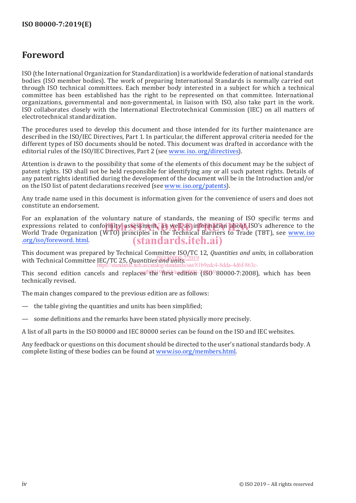### **Foreword**

ISO (the International Organization for Standardization) is a worldwide federation of national standards bodies (ISO member bodies). The work of preparing International Standards is normally carried out through ISO technical committees. Each member body interested in a subject for which a technical committee has been established has the right to be represented on that committee. International organizations, governmental and non-governmental, in liaison with ISO, also take part in the work. ISO collaborates closely with the International Electrotechnical Commission (IEC) on all matters of electrotechnical standardization.

The procedures used to develop this document and those intended for its further maintenance are described in the ISO/IEC Directives, Part 1. In particular, the different approval criteria needed for the different types of ISO documents should be noted. This document was drafted in accordance with the editorial rules of the ISO/IEC Directives, Part 2 (see www. iso. org/directives).

Attention is drawn to the possibility that some of the elements of this document may be the subject of patent rights. ISO shall not be held responsible for identifying any or all such patent rights. Details of any patent rights identified during the development of the document will be in the Introduction and/or on the ISO list of patent declarations received (see www.iso.org/patents).

Any trade name used in this document is information given for the convenience of users and does not constitute an endorsement.

For an explanation of the voluntary nature of standards, the meaning of ISO specific terms and expressions related to conformity assessment, as well as information about ISO's adherence to the World Trade Organization (WTO .org/iso/foreword.html. (standards.iteh.ai)

This document was prepared by Technical Committee ISO/TC 12, Quantities and units, in collaboration with Technical Committee IEC/TC 25, Quantities and units,  $\frac{[S_t Q_t^2(0.001 - 7.2019)}{2}$  $\frac{1}{1}$ ist/81b9edc4-8dda-4d6f-863c-

This second edition cancels and replaces the  $960000 - 760980000 - 72008$ , which has been technically revised.

The main changes compared to the previous edition are as follows:

- the table giving the quantities and units has been simplified:
- some definitions and the remarks have been stated physically more precisely.

A list of all parts in the ISO 80000 and IEC 80000 series can be found on the ISO and IEC websites.

Any feedback or questions on this document should be directed to the user's national standards body. A complete listing of these bodies can be found at www.iso.org/members.html.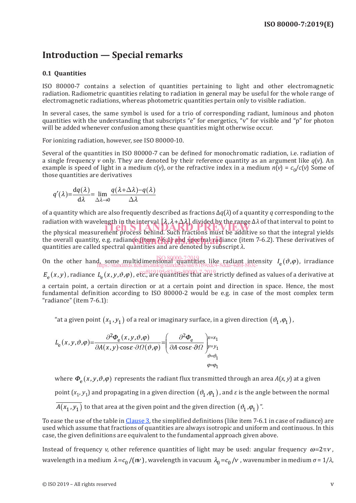### **Introduction — Special remarks**

#### **0.1 Quantities**

ISO 80000-7 contains a selection of quantities pertaining to light and other electromagnetic radiation. Radiometric quantities relating to radiation in general may be useful for the whole range of electromagnetic radiations, whereas photometric quantities pertain only to visible radiation.

In several cases, the same symbol is used for a trio of corresponding radiant, luminous and photon quantities with the understanding that subscripts "e" for energetics, "v" for visible and "p" for photon will be added whenever confusion among these quantities might otherwise occur.

For ionizing radiation, however, see ISO 80000-10.

Several of the quantities in ISO 80000-7 can be defined for monochromatic radiation, i.e. radiation of a single frequency *v* only. They are denoted by their reference quantity as an argument like *q*(*v*). An example is speed of light in a medium  $c(v)$ , or the refractive index in a medium  $n(v) = c_0/c(v)$  Some of those quantities are derivatives

$$
q'(\lambda) = \frac{dq(\lambda)}{d\lambda} = \lim_{\Delta\lambda \to 0} \frac{q(\lambda + \Delta\lambda) - q(\lambda)}{\Delta\lambda}
$$

of a quantity which are also frequently described as fractions Δ*q*(*λ*) of a quantity *q* corresponding to the radiation with wavelength in the interval  $[\lambda, \lambda + \Delta \lambda]$  divided by the range  $\Delta \lambda$  of that interval to point to The physical measurement process behind. Such fractions must be additive so that the integral yields the overall quantity, e.g. radiance (**item 7-6.1)** and spectral radiance (item 7-6.2). These derivatives of quantities are called spectral quantities and are denoted by subscript  $\lambda$ quantities are called spectral quantities and are denoted by subscript *λ*.

On the other hand, some multidimensional quantities like radiant intensity  $I_e(\vartheta,\varphi)$ , irradiance  $E_{\rm e}$  (*x* , *y* ) , radiance  $L_{\rm e}$  (*x , y , v* ,  $\varphi$  ) , etc., are quantities that are strictly defined as values of a derivative at a certain point, a certain direction or at a certain point and direction in space. Hence, the most fundamental definition according to ISO 80000-2 would be e.g. in case of the most complex term "radiance" (item 7-6.1): https://standards.iteh.ai/catalog/standards/sist/81b9edc4-8dda-4d6f-863c-

"at a given point  $(x_1, y_1)$  of a real or imaginary surface, in a given direction  $(\vartheta_1, \varphi_1)$ ,

$$
L_{\mathbf{e}}(x, y, \vartheta, \varphi) = \frac{\partial^2 \Phi_{\mathbf{e}}(x, y, \vartheta, \varphi)}{\partial A(x, y) \cdot \cos \varepsilon \cdot \partial \Omega(\vartheta, \varphi)} = \left(\frac{\partial^2 \Phi_{\mathbf{e}}}{\partial A \cdot \cos \varepsilon \cdot \partial \Omega} \right)_{\substack{y = y_1 \\ \vartheta = \vartheta_1 \\ \varphi = \varphi_1}}^{x = x_1}
$$

where  $\Phi_{\rm e} (x, y, \vartheta, \varphi)$  represents the radiant flux transmitted through an area  $A(x, y)$  at a given point  $(x_1, y_1)$  and propagating in a given direction  $(\vartheta_1, \varphi_1)$ , and  $\varepsilon$  is the angle between the normal

 $\overline{A(x_1, y_1)}$  to that area at the given point and the given direction  $(\vartheta_1, \varphi_1)$ ".

To ease the use of the table in Clause 3, the simplified definitions (like item 7-6.1 in case of radiance) are used which assume that fractions of quantities are always isotropic and uniform and continuous. In this case, the given definitions are equivalent to the fundamental approach given above.

Instead of frequency *v*, other reference quantities of light may be used: angular frequency  $\omega = 2\pi v$ , wavelength in a medium  $\lambda = c_0 / (n \nu)$ , wavelength in vacuum  $\lambda_0 = c_0 / \nu$ , wavenumber in medium  $\sigma = 1/\lambda$ ,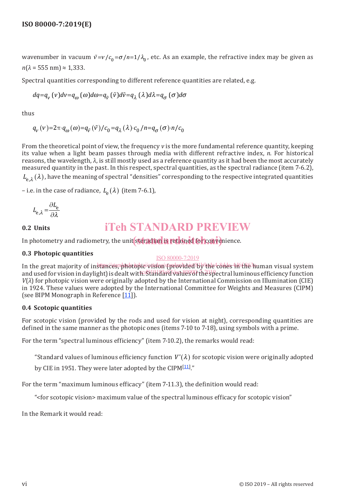wavenumber in vacuum  $\tilde{v} = v/c_0 = \sigma/n = 1/\lambda_0$ , etc. As an example, the refractive index may be given as  $n(\lambda = 555 \text{ nm}) \approx 1,333.$ 

Spectral quantities corresponding to different reference quantities are related, e.g.

$$
dq = q_{v}(v)dv = q_{\omega}(\omega)d\omega = q_{\tilde{v}}(\tilde{v})d\tilde{v} = q_{\lambda}(\lambda)d\lambda = q_{\sigma}(\sigma)d\sigma
$$

thus

 $q_{v}(v) = 2\pi q_{\alpha}(\omega) = q_{\tilde{v}}(\tilde{v})/c_0 = q_{\tilde{v}}(\lambda) \cdot c_0/n = q_{\tilde{v}}(\sigma) \cdot n/c_0$ 

From the theoretical point of view, the frequency *v* is the more fundamental reference quantity, keeping its value when a light beam passes through media with different refractive index, *n*. For historical reasons, the wavelength, *λ*, is still mostly used as a reference quantity as it had been the most accurately measured quantity in the past. In this respect, spectral quantities, as the spectral radiance (item 7-6.2),  $L_{\rho\lambda}(\lambda)$ , have the meaning of spectral "densities" corresponding to the respective integrated quantities

– i.e. in the case of radiance,  $L_e(\lambda)$  (item 7-6.1),

$$
L_{\rm e, \lambda} = \frac{\partial L_{\rm e}}{\partial \lambda}
$$

**0.2 Units**

### iTeh STANDARD PREVIEW

In photometry and radiometry, the unit <mark>steradian is retained for conve</mark>nience.

#### **0.3 Photopic quantities**

#### ISO 80000-7:2019

In the great majority of instances, photopic vision (provided by the cones in the human visual system and used for vision in daylight) is dealt with. Standard values of the spectral luminous efficiency function *V*(*λ*) for photopic vision were originally adopted by the International Commission on Illumination (CIE) in 1924. These values were adopted by the International Committee for Weights and Measures (CIPM) (see BIPM Monograph in Reference  $[11]$ ).

### **0.4 Scotopic quantities**

For scotopic vision (provided by the rods and used for vision at night), corresponding quantities are defined in the same manner as the photopic ones (items 7-10 to 7-18), using symbols with a prime.

For the term "spectral luminous efficiency" (item 7-10.2), the remarks would read:

"Standard values of luminous efficiency function  $V'(\lambda)$  for scotopic vision were originally adopted

by CIE in 1951. They were later adopted by the CIPM<sup>[11]</sup>."

For the term "maximum luminous efficacy" (item 7-11.3), the definition would read:

"<for scotopic vision> maximum value of the spectral luminous efficacy for scotopic vision"

In the Remark it would read: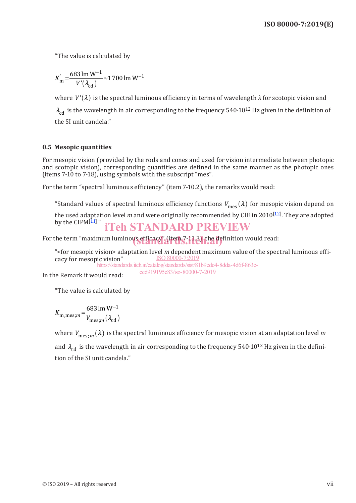"The value is calculated by

$$
K_{\rm m} = \frac{683 \,\rm{lm} \, \rm{W}^{-1}}{V'(\lambda_{\rm cd})} \approx 1700 \,\rm{lm} \, \rm{W}^{-1}
$$

where  $V'(\lambda)$  is the spectral luminous efficiency in terms of wavelength  $\lambda$  for scotopic vision and

 $\lambda_{\rm cd}$  is the wavelength in air corresponding to the frequency 540·10<sup>12</sup> Hz given in the definition of the SI unit candela."

#### **0.5 Mesopic quantities**

For mesopic vision (provided by the rods and cones and used for vision intermediate between photopic and scotopic vision), corresponding quantities are defined in the same manner as the photopic ones (items 7-10 to 7-18), using symbols with the subscript "mes".

For the term "spectral luminous efficiency" (item 7-10.2), the remarks would read:

"Standard values of spectral luminous efficiency functions  $V_{\text{mes}}(\lambda)$  for mesopic vision depend on the used adaptation level *m* and were originally recommended by CIE in 2010<sup>[12]</sup>. They are adopted by the CIPM<sup>[11]</sup>." iTeh STANDARD PREVIEW

For the term "maximum lumino<mark>us efficacy" (item 7-11.3), the de</mark>finition would read:

"<for mesopic vision> adaptation level *m* dependent maximum value of the spectral luminous efficacy for mesopic vision" ISO 80000-7:2019

https://standards.iteh.ai/catalog/standards/sist/81b9edc4-8dda-4d6f-863cccd919195e83/iso-80000-7-2019

In the Remark it would read:

"The value is calculated by

$$
K_{\text{m,mes};m} = \frac{683 \text{ lm W}^{-1}}{V_{\text{mes};m}(\lambda_{\text{cd}})}
$$

where  $V_{\text{mes }},m}(\lambda)$  is the spectral luminous efficiency for mesopic vision at an adaptation level *m* and  $\lambda_{\rm cd}$  is the wavelength in air corresponding to the frequency 540·10<sup>12</sup> Hz given in the definition of the SI unit candela."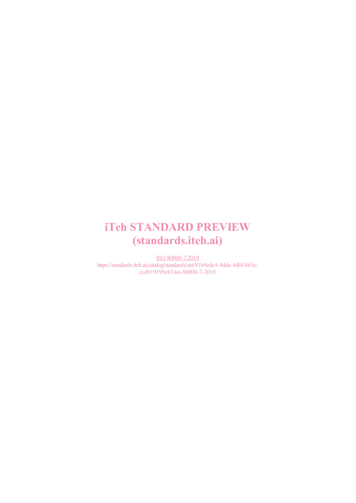## iTeh STANDARD PREVIEW (standards.iteh.ai)

ISO 80000-7:2019 https://standards.iteh.ai/catalog/standards/sist/81b9edc4-8dda-4d6f-863cccd919195e83/iso-80000-7-2019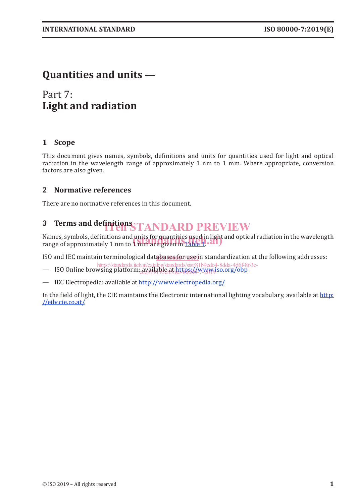### **Quantities and units —**

Part 7: **Light and radiation**

### **1 Scope**

This document gives names, symbols, definitions and units for quantities used for light and optical radiation in the wavelength range of approximately 1 nm to 1 mm. Where appropriate, conversion factors are also given.

### **2 Normative references**

There are no normative references in this document.

## **3** Terms and definitions **TANDARD PREVIEW**

Names, symbols, definitions and units for quantities used in light and optical radiation in the wavelength Names, symbols, definitions and units for quantities used in light.<br>range of approximately 1 nm to 1 mm are given in <u>Table 1</u>. 41 J

ISO and IEC maintain terminological dat<u>abases for $\overline{\text{u}$ seg</u>in standardization at the following addresses:

- ISO Online browsing platform: available at https://www.iso.org/obp https://standards.iteh.ai/catalog/standards/sist/81b9edc4-8dda-4d6f-863c-: dydud 91e du <mark>ni 198366-9-201</mark>9
- IEC Electropedia: available at http://www.electropedia.org/

In the field of light, the CIE maintains the Electronic international lighting vocabulary, available at http: //eilv.cie.co.at/.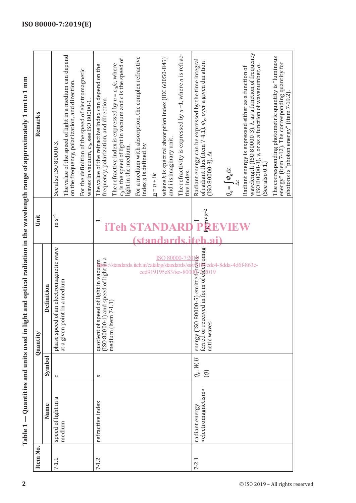Table 1 - Quantities and units used in light and optical radiation in the wavelength range of approximately 1 nm to 1 mm **Table 1 — Quantities and units used in light and optical radiation in the wavelength range of approximately 1 nm to 1 mm**

| Item No.  |                                                          |                               | Quantity                                                                                                      | Unit                          | Remarks                                                                                                                                                                                                       |
|-----------|----------------------------------------------------------|-------------------------------|---------------------------------------------------------------------------------------------------------------|-------------------------------|---------------------------------------------------------------------------------------------------------------------------------------------------------------------------------------------------------------|
|           | Name                                                     | Symbol                        | Definition                                                                                                    |                               |                                                                                                                                                                                                               |
| $7-1.1$   | speed of light in a                                      | C                             | of an electromagnetic wave<br>phase speed                                                                     | $\rm m\,s^{-1}$               | See also ISO 80000-3                                                                                                                                                                                          |
|           | medium                                                   |                               | at a given point in a medium                                                                                  |                               | The value of the speed of light in a medium can depend<br>on the frequency, polarization, and direction.                                                                                                      |
|           |                                                          |                               |                                                                                                               |                               | For the definition of the speed of electromagnetic<br>waves in vacuum, $c_0$ , see ISO 80000-1.                                                                                                               |
| $7-1.2$   | refractive index                                         | Z                             | $($ ISO 80000-1) and speed of light $\ddot{\ddot{\mathbf{m}}}$ a<br>beed of light in vacuum<br>quotient of sp | $\overline{\phantom{0}}$      | The value of the refractive index can depend on the<br>frequency, polarization, and direction.                                                                                                                |
|           |                                                          |                               | medium (item 7-1.1)                                                                                           |                               | $c_0$ is the speed of light in vacuum and $c$ is the speed of<br>The refractive index is expressed by $n = c_0/c$ , where<br>light in the medium.                                                             |
|           |                                                          |                               |                                                                                                               |                               | For a medium with absorption, the complex refractive<br>index n is defined by                                                                                                                                 |
|           |                                                          |                               |                                                                                                               |                               | $\underline{n} = n + ik$                                                                                                                                                                                      |
|           |                                                          |                               |                                                                                                               |                               | where k is spectral absorption index (IEC 60050-845)<br>and i is imaginary unit.                                                                                                                              |
|           |                                                          |                               |                                                                                                               |                               | The refractivity is expressed by $n-1$ , where n is refrac-<br>tive index.                                                                                                                                    |
| $7 - 2.1$ | <electromagnetism><br/>radiant energy</electromagnetism> | $Q_{\rm e}$ , W, U<br>$\odot$ | ferred or received in form of electromag-<br>energy (ISO 80000-5) emitted, trans<br>netic waves               | $\frac{1}{2}$ s <sup>-2</sup> | Radiant energy can be expressed by the time integral<br>of radiant flux (item 7-4.1), $\Phi_{\rm e}$ , over a given duration<br>$($ ISO 80000-3), $\Delta t$                                                  |
|           |                                                          |                               |                                                                                                               |                               | $Q_{\rm e}=\int\varphi_{\rm e}\mathrm{d}t$                                                                                                                                                                    |
|           |                                                          |                               |                                                                                                               |                               |                                                                                                                                                                                                               |
|           |                                                          |                               |                                                                                                               |                               | wavelength (ISO 80000-3), $\lambda$ , as a function of frequency<br>$(1S0 80000-3)$ , v, or as a function of wavenumber, $\sigma$ .<br>Radiant energy is expressed either as a function of<br>(See also 0.1.) |
|           |                                                          |                               |                                                                                                               |                               | The corresponding photometric quantity is "luminous<br>energy" (item 7-12). The corresponding quantity for<br>photons is "photon energy" (item 7-19.2).                                                       |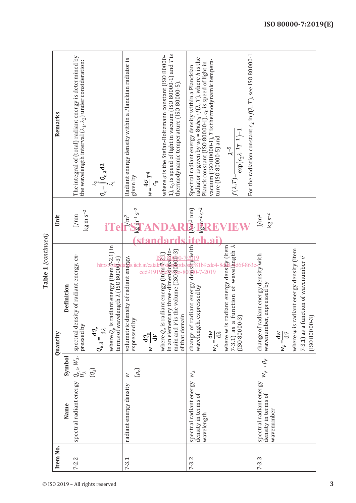|                                                                                                      |  | Quantity                                                                                                                                   |                                                               |                                                                                                                                                                                                         |
|------------------------------------------------------------------------------------------------------|--|--------------------------------------------------------------------------------------------------------------------------------------------|---------------------------------------------------------------|---------------------------------------------------------------------------------------------------------------------------------------------------------------------------------------------------------|
|                                                                                                      |  |                                                                                                                                            | Unit                                                          | Remarks                                                                                                                                                                                                 |
| Symbol<br>Name                                                                                       |  | Definition                                                                                                                                 |                                                               |                                                                                                                                                                                                         |
| spectral radiant energy                                                                              |  | $ Q_{\text{e},\lambda},W_{\lambda},$ spectral density of radiant energy, ex- $ U_{\lambda} $ pressed by                                    | $\text{kg}\,\text{m}\,\text{s}^{-2}$<br>$J$ /nm               | The integral of (total) radiant energy is determined by<br>the wavelength interval $(\lambda_1,\lambda_2)$ under consideration:                                                                         |
| $Q_{\rm e, \lambda} = \frac{\mathrm{d} Q_{\rm e}}{\mathrm{d} \lambda}$<br>(Q)                        |  |                                                                                                                                            |                                                               | $\left Q_{\mathrm{e}}\right =\int\limits_{\lambda_{1}}Q_{\mathrm{e}}{}_{,\lambda}\mathrm{d}\lambda$                                                                                                     |
|                                                                                                      |  | where $Q_{\rm e}$ is radiant energy (item $\tilde{\mathbb{Z}}$ -2.1) in<br>terms of wavelength $\lambda$ (ISO 80000-3)                     |                                                               |                                                                                                                                                                                                         |
| expressed by<br>Go)<br>$\geq$<br>radiant energy density                                              |  | volumetric density of radiant energy,                                                                                                      | $k\bar{g}$ m <sup>-1</sup> s <sup>-2</sup><br>$\frac{m^3}{2}$ | Radiant energy density within a Planckian radiator is<br>given by                                                                                                                                       |
| $dQ_e$<br>$\overline{d}V$<br>$\equiv -1$                                                             |  |                                                                                                                                            |                                                               | $w = \frac{4\sigma}{2}T^4$                                                                                                                                                                              |
| of that domain                                                                                       |  | in an elementary three-dimen§jonalgo-<br>main and V is the volume (ISO300008-3)<br>where $Q_{\rm e}$ is radiant energy (itenty- $\sharp$ ) |                                                               | 1), $c_0$ is speed of light in vacuum (ISO 80000-1) and T is<br>where $\sigma$ is the Stefan-Boltzmann constant (ISO 80000-<br>thermodynamic temperature (ISO 80000-5).                                 |
| $\mu_{\lambda}$<br>spectral radiant energy<br>density in terms of                                    |  | change of radiant energy degs黈yovith<br>wavelength, expressed by                                                                           | $x^{-2}$ s <sup>-2</sup><br>(m <sup>3</sup> nm)               | radiator is given by $w_\lambda$ = $8\pi h c_0$ · $f(\lambda, T)$ , where $h$ is the Planck constant (ISO $80000$ -1), $c_0$ is speed of light in<br>Spectral radiant energy density within a Planckian |
| $\vert w_\lambda=\!\!\frac{\mathrm{d} w}{\mathrm{d} \lambda}$<br>wavelength                          |  |                                                                                                                                            |                                                               | vacuum (ISO 80000-1), T is thermodynamic tempera-<br>ture (ISO 80000-5) and                                                                                                                             |
| $($ ISO 80000-3)<br>$7-3.1$ ) as a                                                                   |  | function of wavelength $\lambda$<br>where w is radiant energy denstry (item                                                                |                                                               | $f(\lambda, T) = \frac{1}{\exp(c_2 \lambda^{-1} T^{-1}) - 1}$<br>$\lambda^{-5}$                                                                                                                         |
|                                                                                                      |  |                                                                                                                                            |                                                               | For the radiation constant $c_2$ in $f(\lambda, T)$ , see ISO 80000-1.                                                                                                                                  |
| $w_{\tilde{V}}$ , $\rho_{\tilde{V}}$<br>spectral radiant energy<br>density in terms of<br>wavenumber |  | change of radiant energy density with<br>wavenumber, expressed by                                                                          | $\text{kg s}^{-2}$<br>J/m <sup>2</sup>                        |                                                                                                                                                                                                         |
| $w_{\tilde{v}}=\frac{\mathrm{d}w}{\mathrm{d}\tilde{v}}$                                              |  |                                                                                                                                            |                                                               |                                                                                                                                                                                                         |
|                                                                                                      |  | where w is radiant energy density (item                                                                                                    |                                                               |                                                                                                                                                                                                         |
| $(1SO 80000 - 3)$                                                                                    |  | 7-3.1) as a function of wavenumber $\tilde{v}$                                                                                             |                                                               |                                                                                                                                                                                                         |

Table 1 (continued) **Table 1** *(continued)*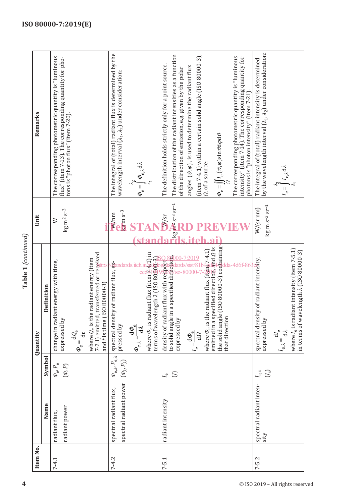| Ş      |
|--------|
|        |
|        |
| i      |
| ï      |
|        |
|        |
|        |
|        |
|        |
|        |
|        |
|        |
| ı      |
|        |
| ₹<br>٠ |
|        |
| ١<br>c |
|        |
|        |
|        |
| c      |
| ರ      |
|        |

| tons is "photon flux" (item 7-20).<br>$\Phi_{\rm e}\!=\!\!\int\!\!\!\int\! I_{\rm e}(\vartheta,\varphi)$ sin $\vartheta{\rm d}\varphi{\rm d}\vartheta$<br>Q, of a source:<br>$\Phi_{\rm e} = \int\limits_{0}^{\Lambda_{\rm 2}} \Phi_{\rm e,\lambda} {\rm d}\lambda$<br>$I_{\rm e} = \int_{0}^{\prime 2} I_{\rm e, \lambda} d\lambda$<br>$5 \text{kg} \, \text{m}^2 \, \text{s}^{-3} \, \text{s} \text{m}^{-1}$<br>$kg \, \text{m} \, \text{s}^{-3} \, \text{sr}^{-1}$<br>$W/(sr \ nm)$<br>$\rm kg\,m^2\,s^{-3}$<br>$kg$ m $s^{-3}$<br>W/nm<br>W/sr<br>$\geq$<br>the solid angle (ISO 80000-3) containing<br>where $\Phi_{\rm e}$ is the radiant flux (item $7$ -4.1)<br>emitted in a specified direction, and $\Omega$ is<br>where $I_e$ is radiant intensity (item 7-5.1)<br>in terms of wavelength $\lambda$ (ISO 80000-3)<br>7-2.1) emitted, transferred or received<br>$\frac{u}{\sqrt{2}}$ where $\Phi_{\rm e}$ is radiant flux (item $\frac{a}{2}$ , $\frac{a}{2}$ ) in<br>to solid angle in a specified di趋dio<br>terms of wavelength $\lambda$ (ISO 80000-2)<br>where $Q_{\rm e}$ is the radiant energy (item<br>spectral density of radiant intensity,<br>density of radiant flux with respect<br>iant energy with time,<br>spectral density of radiant flux, ex-<br>and $t$ is time $($ ISO 80000-3)<br>Definition<br>change in radi<br>that direction<br>expressed by<br>expressed by<br>expressed by<br>pressed by<br>$\mathrm{d}\varPhi_{\!\scriptscriptstyle \mathrm{e}\!}$<br>$ \Phi_{\text{e},\lambda} = \frac{1}{d\lambda}$<br>$I_{\mathrm{e},\lambda}=\!\!\frac{\mathrm{d}I_{\mathrm{e}}}{\mathrm{d}\lambda}$<br>$dQ_{\rm e}$<br>$I_{\rm e} = \frac{{\rm d}\Phi}{{\rm d}\Omega}$<br>$ \Phi_{\rm e} = \frac{1}{\mathrm{d}t}$<br>$\varPhi_{\mathrm{e},\lambda}, P_{\mathrm{e},\lambda}$<br>Symbol<br>$\left[\left(\Phi_{\!\lambda},P_{\!\lambda}\right)\right]$<br>$\Phi_{\rm e}$ , $P_{\rm e}$<br>$(\Phi,P)$<br>$\Im$<br>$I_{\rm e\lambda}$<br>S<br>$I_e$<br>spectral radiant power<br>spectral radiant inten-<br>spectral radiant flux,<br>radiant intensity<br>Name<br>radiant power<br>radiant flux,<br>sity<br>$7 - 4.2$<br>$7 - 5.2$<br>$7 - 4.1$<br>$7 - 5.1$ | Item No. |  | Quantity | Unit | Remarks                                                                                                                                                     |
|--------------------------------------------------------------------------------------------------------------------------------------------------------------------------------------------------------------------------------------------------------------------------------------------------------------------------------------------------------------------------------------------------------------------------------------------------------------------------------------------------------------------------------------------------------------------------------------------------------------------------------------------------------------------------------------------------------------------------------------------------------------------------------------------------------------------------------------------------------------------------------------------------------------------------------------------------------------------------------------------------------------------------------------------------------------------------------------------------------------------------------------------------------------------------------------------------------------------------------------------------------------------------------------------------------------------------------------------------------------------------------------------------------------------------------------------------------------------------------------------------------------------------------------------------------------------------------------------------------------------------------------------------------------------------------------------------------------------------------------------------------------------------------------------------------------------------------------------------------------------------------------------------------------------------------------------------------------------------------------------------------------------------------------------------------------------------------------------------------------------------------------------------------------------------------------|----------|--|----------|------|-------------------------------------------------------------------------------------------------------------------------------------------------------------|
|                                                                                                                                                                                                                                                                                                                                                                                                                                                                                                                                                                                                                                                                                                                                                                                                                                                                                                                                                                                                                                                                                                                                                                                                                                                                                                                                                                                                                                                                                                                                                                                                                                                                                                                                                                                                                                                                                                                                                                                                                                                                                                                                                                                      |          |  |          |      |                                                                                                                                                             |
|                                                                                                                                                                                                                                                                                                                                                                                                                                                                                                                                                                                                                                                                                                                                                                                                                                                                                                                                                                                                                                                                                                                                                                                                                                                                                                                                                                                                                                                                                                                                                                                                                                                                                                                                                                                                                                                                                                                                                                                                                                                                                                                                                                                      |          |  |          |      | The corresponding photometric quantity is "luminous<br>flux" (item 7-13). The corresponding quantity for pho-                                               |
|                                                                                                                                                                                                                                                                                                                                                                                                                                                                                                                                                                                                                                                                                                                                                                                                                                                                                                                                                                                                                                                                                                                                                                                                                                                                                                                                                                                                                                                                                                                                                                                                                                                                                                                                                                                                                                                                                                                                                                                                                                                                                                                                                                                      |          |  |          |      |                                                                                                                                                             |
|                                                                                                                                                                                                                                                                                                                                                                                                                                                                                                                                                                                                                                                                                                                                                                                                                                                                                                                                                                                                                                                                                                                                                                                                                                                                                                                                                                                                                                                                                                                                                                                                                                                                                                                                                                                                                                                                                                                                                                                                                                                                                                                                                                                      |          |  |          |      |                                                                                                                                                             |
|                                                                                                                                                                                                                                                                                                                                                                                                                                                                                                                                                                                                                                                                                                                                                                                                                                                                                                                                                                                                                                                                                                                                                                                                                                                                                                                                                                                                                                                                                                                                                                                                                                                                                                                                                                                                                                                                                                                                                                                                                                                                                                                                                                                      |          |  |          |      | The integral of (total) radiant flux is determined by the<br>wavelength interval $(\lambda_1,\lambda_2)$ under consideration                                |
|                                                                                                                                                                                                                                                                                                                                                                                                                                                                                                                                                                                                                                                                                                                                                                                                                                                                                                                                                                                                                                                                                                                                                                                                                                                                                                                                                                                                                                                                                                                                                                                                                                                                                                                                                                                                                                                                                                                                                                                                                                                                                                                                                                                      |          |  |          |      |                                                                                                                                                             |
|                                                                                                                                                                                                                                                                                                                                                                                                                                                                                                                                                                                                                                                                                                                                                                                                                                                                                                                                                                                                                                                                                                                                                                                                                                                                                                                                                                                                                                                                                                                                                                                                                                                                                                                                                                                                                                                                                                                                                                                                                                                                                                                                                                                      |          |  |          |      |                                                                                                                                                             |
|                                                                                                                                                                                                                                                                                                                                                                                                                                                                                                                                                                                                                                                                                                                                                                                                                                                                                                                                                                                                                                                                                                                                                                                                                                                                                                                                                                                                                                                                                                                                                                                                                                                                                                                                                                                                                                                                                                                                                                                                                                                                                                                                                                                      |          |  |          |      | The definition holds strictly only for a point source.                                                                                                      |
|                                                                                                                                                                                                                                                                                                                                                                                                                                                                                                                                                                                                                                                                                                                                                                                                                                                                                                                                                                                                                                                                                                                                                                                                                                                                                                                                                                                                                                                                                                                                                                                                                                                                                                                                                                                                                                                                                                                                                                                                                                                                                                                                                                                      |          |  |          |      | The distribution of the radiant intensities as a function<br>of the direction of emission, e.g. given by the polar                                          |
|                                                                                                                                                                                                                                                                                                                                                                                                                                                                                                                                                                                                                                                                                                                                                                                                                                                                                                                                                                                                                                                                                                                                                                                                                                                                                                                                                                                                                                                                                                                                                                                                                                                                                                                                                                                                                                                                                                                                                                                                                                                                                                                                                                                      |          |  |          |      | angles $(\vartheta,\varphi)$ , is used to determine the radiant flux                                                                                        |
|                                                                                                                                                                                                                                                                                                                                                                                                                                                                                                                                                                                                                                                                                                                                                                                                                                                                                                                                                                                                                                                                                                                                                                                                                                                                                                                                                                                                                                                                                                                                                                                                                                                                                                                                                                                                                                                                                                                                                                                                                                                                                                                                                                                      |          |  |          |      | (item 7-4.1) within a certain solid angle $($ ISO 80000-3),                                                                                                 |
|                                                                                                                                                                                                                                                                                                                                                                                                                                                                                                                                                                                                                                                                                                                                                                                                                                                                                                                                                                                                                                                                                                                                                                                                                                                                                                                                                                                                                                                                                                                                                                                                                                                                                                                                                                                                                                                                                                                                                                                                                                                                                                                                                                                      |          |  |          |      |                                                                                                                                                             |
|                                                                                                                                                                                                                                                                                                                                                                                                                                                                                                                                                                                                                                                                                                                                                                                                                                                                                                                                                                                                                                                                                                                                                                                                                                                                                                                                                                                                                                                                                                                                                                                                                                                                                                                                                                                                                                                                                                                                                                                                                                                                                                                                                                                      |          |  |          |      |                                                                                                                                                             |
|                                                                                                                                                                                                                                                                                                                                                                                                                                                                                                                                                                                                                                                                                                                                                                                                                                                                                                                                                                                                                                                                                                                                                                                                                                                                                                                                                                                                                                                                                                                                                                                                                                                                                                                                                                                                                                                                                                                                                                                                                                                                                                                                                                                      |          |  |          |      | The corresponding photometric quantity is "luminous<br>intensity" (item 7-14). The corresponding quantity for<br>photons is "photon intensity" (item 7-21). |
|                                                                                                                                                                                                                                                                                                                                                                                                                                                                                                                                                                                                                                                                                                                                                                                                                                                                                                                                                                                                                                                                                                                                                                                                                                                                                                                                                                                                                                                                                                                                                                                                                                                                                                                                                                                                                                                                                                                                                                                                                                                                                                                                                                                      |          |  |          |      | by the wavelength interval $(\lambda_1, \lambda_2)$ under consideration:<br>The integral of (total) radiant intensity is determined                         |
|                                                                                                                                                                                                                                                                                                                                                                                                                                                                                                                                                                                                                                                                                                                                                                                                                                                                                                                                                                                                                                                                                                                                                                                                                                                                                                                                                                                                                                                                                                                                                                                                                                                                                                                                                                                                                                                                                                                                                                                                                                                                                                                                                                                      |          |  |          |      |                                                                                                                                                             |
|                                                                                                                                                                                                                                                                                                                                                                                                                                                                                                                                                                                                                                                                                                                                                                                                                                                                                                                                                                                                                                                                                                                                                                                                                                                                                                                                                                                                                                                                                                                                                                                                                                                                                                                                                                                                                                                                                                                                                                                                                                                                                                                                                                                      |          |  |          |      |                                                                                                                                                             |